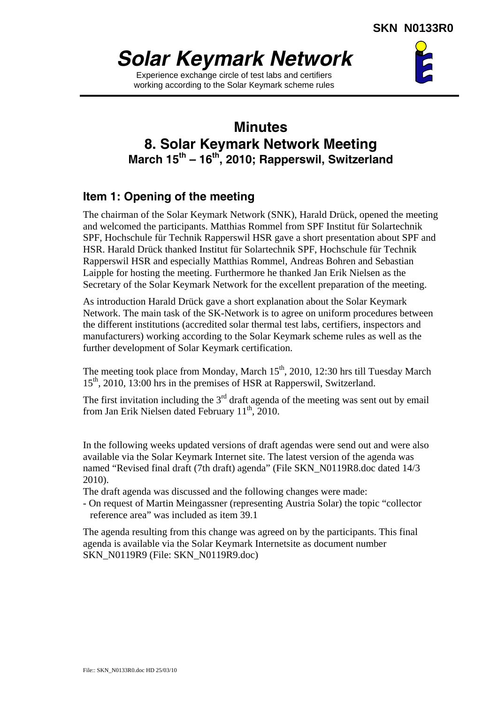

Experience exchange circle of test labs and certifiers working according to the Solar Keymark scheme rules



# **Minutes 8. Solar Keymark Network Meeting March 15th – 16th, 2010; Rapperswil, Switzerland**

## **Item 1: Opening of the meeting**

The chairman of the Solar Keymark Network (SNK), Harald Drück, opened the meeting and welcomed the participants. Matthias Rommel from SPF Institut für Solartechnik SPF, Hochschule für Technik Rapperswil HSR gave a short presentation about SPF and HSR. Harald Drück thanked Institut für Solartechnik SPF, Hochschule für Technik Rapperswil HSR and especially Matthias Rommel, Andreas Bohren and Sebastian Laipple for hosting the meeting. Furthermore he thanked Jan Erik Nielsen as the Secretary of the Solar Keymark Network for the excellent preparation of the meeting.

As introduction Harald Drück gave a short explanation about the Solar Keymark Network. The main task of the SK-Network is to agree on uniform procedures between the different institutions (accredited solar thermal test labs, certifiers, inspectors and manufacturers) working according to the Solar Keymark scheme rules as well as the further development of Solar Keymark certification.

The meeting took place from Monday, March  $15<sup>th</sup>$ , 2010, 12:30 hrs till Tuesday March 15<sup>th</sup>, 2010, 13:00 hrs in the premises of HSR at Rapperswil, Switzerland.

The first invitation including the  $3<sup>rd</sup>$  draft agenda of the meeting was sent out by email from Jan Erik Nielsen dated February  $11^{th}$ , 2010.

In the following weeks updated versions of draft agendas were send out and were also available via the Solar Keymark Internet site. The latest version of the agenda was named "Revised final draft (7th draft) agenda" (File SKN\_N0119R8.doc dated 14/3 2010).

The draft agenda was discussed and the following changes were made:

- On request of Martin Meingassner (representing Austria Solar) the topic "collector reference area" was included as item 39.1

The agenda resulting from this change was agreed on by the participants. This final agenda is available via the Solar Keymark Internetsite as document number SKN\_N0119R9 (File: SKN\_N0119R9.doc)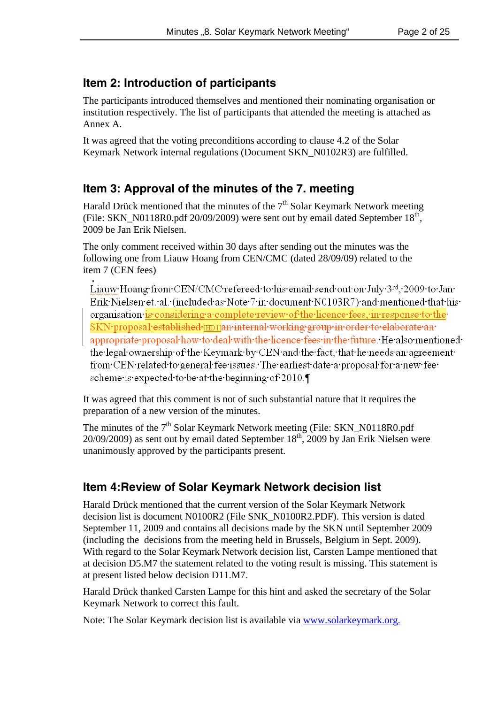## **Item 2: Introduction of participants**

The participants introduced themselves and mentioned their nominating organisation or institution respectively. The list of participants that attended the meeting is attached as Annex A.

It was agreed that the voting preconditions according to clause 4.2 of the Solar Keymark Network internal regulations (Document SKN\_N0102R3) are fulfilled.

## **Item 3: Approval of the minutes of the 7. meeting**

Harald Drück mentioned that the minutes of the  $7<sup>th</sup>$  Solar Keymark Network meeting (File: SKN\_N0118R0.pdf  $20/09/2009$ ) were sent out by email dated September  $18<sup>th</sup>$ , 2009 be Jan Erik Nielsen.

The only comment received within 30 days after sending out the minutes was the following one from Liauw Hoang from CEN/CMC (dated 28/09/09) related to the item 7 (CEN fees)

Liauw·Hoang·from·CEN/CMC·refereed·to·his·email·send·out·on·July·3rd, 2009·to·Jan· Erik·Nielsen·et.·al.·(included·as·Note·7·in·document·N0103R7)·and·mentioned·that·his· organisation is considering a complete review of the licence fees, in response to the SKN·proposal·established-[HD1]an-internal-working-group-in-order-to-elaborate-anappropriate proposal how to deal with the licence fees in the future. He also mentioned the legal ownership of the Keymark by CEN and the fact, that he needs an agreement from CEN related to general fee issues. The earliest date a proposal for a new fee scheme is expected to be at the beginning of 2010.

It was agreed that this comment is not of such substantial nature that it requires the preparation of a new version of the minutes.

The minutes of the  $7<sup>th</sup>$  Solar Keymark Network meeting (File: SKN\_N0118R0.pdf 20/09/2009) as sent out by email dated September  $18^{th}$ , 2009 by Jan Erik Nielsen were unanimously approved by the participants present.

## **Item 4:Review of Solar Keymark Network decision list**

Harald Drück mentioned that the current version of the Solar Keymark Network decision list is document N0100R2 (File SNK\_N0100R2.PDF). This version is dated September 11, 2009 and contains all decisions made by the SKN until September 2009 (including the decisions from the meeting held in Brussels, Belgium in Sept. 2009). With regard to the Solar Keymark Network decision list, Carsten Lampe mentioned that at decision D5.M7 the statement related to the voting result is missing. This statement is at present listed below decision D11.M7.

Harald Drück thanked Carsten Lampe for this hint and asked the secretary of the Solar Keymark Network to correct this fault.

Note: The Solar Keymark decision list is available via www.solarkeymark.org.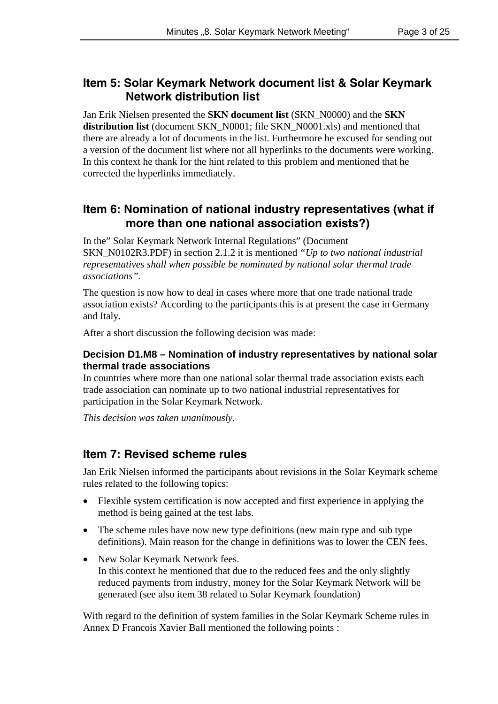## **Item 5: Solar Keymark Network document list & Solar Keymark Network distribution list**

Jan Erik Nielsen presented the **SKN document list** (SKN\_N0000) and the **SKN distribution list** (document SKN\_N0001; file SKN\_N0001.xls) and mentioned that there are already a lot of documents in the list. Furthermore he excused for sending out a version of the document list where not all hyperlinks to the documents were working. In this context he thank for the hint related to this problem and mentioned that he corrected the hyperlinks immediately.

## **Item 6: Nomination of national industry representatives (what if more than one national association exists?)**

In the" Solar Keymark Network Internal Regulations" (Document SKN\_N0102R3.PDF) in section 2.1.2 it is mentioned *"Up to two national industrial representatives shall when possible be nominated by national solar thermal trade associations".*

The question is now how to deal in cases where more that one trade national trade association exists? According to the participants this is at present the case in Germany and Italy.

After a short discussion the following decision was made:

#### **Decision D1.M8 – Nomination of industry representatives by national solar thermal trade associations**

In countries where more than one national solar thermal trade association exists each trade association can nominate up to two national industrial representatives for participation in the Solar Keymark Network.

*This decision was taken unanimously.*

## **Item 7: Revised scheme rules**

Jan Erik Nielsen informed the participants about revisions in the Solar Keymark scheme rules related to the following topics:

- Flexible system certification is now accepted and first experience in applying the method is being gained at the test labs.
- The scheme rules have now new type definitions (new main type and sub type definitions). Main reason for the change in definitions was to lower the CEN fees.
- New Solar Keymark Network fees. In this context he mentioned that due to the reduced fees and the only slightly reduced payments from industry, money for the Solar Keymark Network will be generated (see also item 38 related to Solar Keymark foundation)

With regard to the definition of system families in the Solar Keymark Scheme rules in Annex D Francois Xavier Ball mentioned the following points :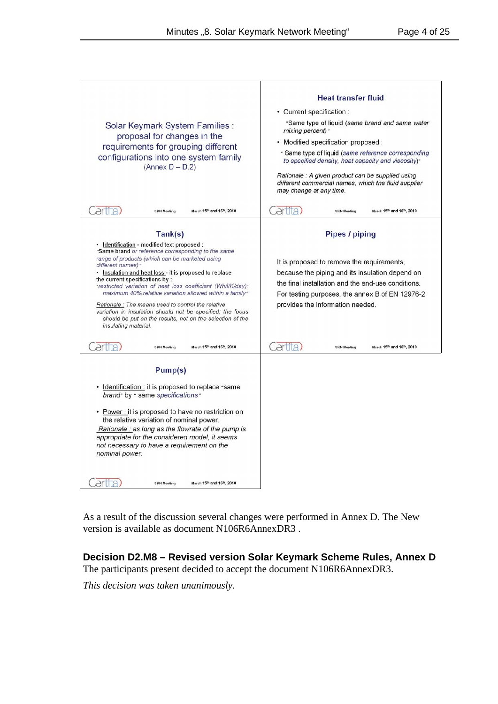| Solar Keymark System Families :<br>proposal for changes in the<br>requirements for grouping different<br>configurations into one system family<br>$(Annex D - D.2)$                                                                                                                                                                                                                                                                                                                                                                                                                                     | <b>Heat transfer fluid</b><br>• Current specification :<br>"Same type of liquid (same brand and same water<br>mixing percent) *<br>· Modified specification proposed :<br>* Same type of liquid (same reference corresponding<br>to specified density, heat capacity and viscosity)"<br>Rationale : A given product can be supplied using |  |  |  |
|---------------------------------------------------------------------------------------------------------------------------------------------------------------------------------------------------------------------------------------------------------------------------------------------------------------------------------------------------------------------------------------------------------------------------------------------------------------------------------------------------------------------------------------------------------------------------------------------------------|-------------------------------------------------------------------------------------------------------------------------------------------------------------------------------------------------------------------------------------------------------------------------------------------------------------------------------------------|--|--|--|
| March 15th and 16th, 2010<br><b>SKN Meeting</b>                                                                                                                                                                                                                                                                                                                                                                                                                                                                                                                                                         | different commercial names, which the fluid supplier<br>may change at any time.<br>artita<br><b>SKN Meeting</b><br>March 15th and 16th, 2010                                                                                                                                                                                              |  |  |  |
| Tank(s)                                                                                                                                                                                                                                                                                                                                                                                                                                                                                                                                                                                                 | <b>Pipes / piping</b>                                                                                                                                                                                                                                                                                                                     |  |  |  |
| · Identification - modified text proposed :<br>Same brand or reference corresponding to the same<br>range of products (which can be marketed using<br>different names) "<br>• Insulation and heat loss - it is proposed to replace<br>the current specifications by:<br>*restricted variation of heat loss coefficient (Wh/l/K/day):<br>maximum 40% relative variation allowed within a family"<br>Rationale: The means used to control the relative<br>variation in insulation should not be specified; the focus<br>should be put on the results, not on the selection of the<br>insulating material. | It is proposed to remove the requirements,<br>because the piping and its insulation depend on<br>the final installation and the end-use conditions.<br>For testing purposes, the annex B of EN 12976-2<br>provides the information needed.                                                                                                |  |  |  |
| erfita<br>March 15th and 16th, 2010<br><b>SKN Meeting</b>                                                                                                                                                                                                                                                                                                                                                                                                                                                                                                                                               | artita<br>March 15th and 16th, 2010<br><b>SKN Meeting</b>                                                                                                                                                                                                                                                                                 |  |  |  |
| Pump(s)<br>Identification : it is proposed to replace "same"<br>٠<br>brand" by " same specifications"<br>• Power: it is proposed to have no restriction on<br>the relative variation of nominal power.<br>Rationale : as long as the flowrate of the pump is<br>appropriate for the considered model, it seems<br>not necessary to have a requirement on the<br>nominal power.                                                                                                                                                                                                                          |                                                                                                                                                                                                                                                                                                                                           |  |  |  |
| March 15th and 16th, 2010<br><b>SKN Meeting</b>                                                                                                                                                                                                                                                                                                                                                                                                                                                                                                                                                         |                                                                                                                                                                                                                                                                                                                                           |  |  |  |

As a result of the discussion several changes were performed in Annex D. The New version is available as document N106R6AnnexDR3 .

## **Decision D2.M8 – Revised version Solar Keymark Scheme Rules, Annex D**

The participants present decided to accept the document N106R6AnnexDR3.

*This decision was taken unanimously.*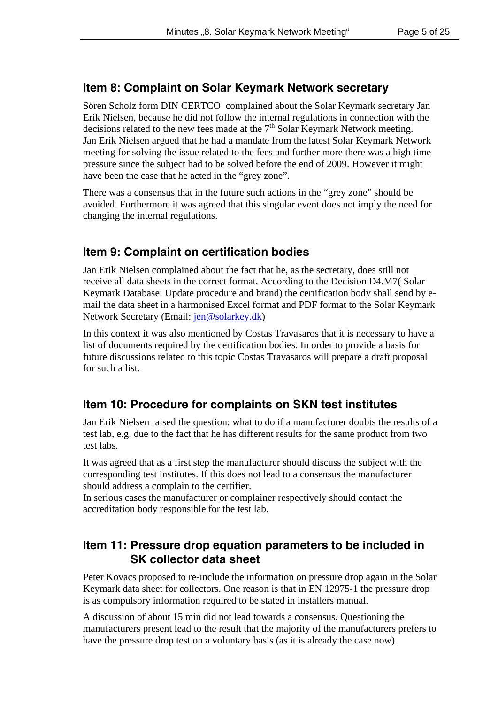## **Item 8: Complaint on Solar Keymark Network secretary**

Sören Scholz form DIN CERTCO complained about the Solar Keymark secretary Jan Erik Nielsen, because he did not follow the internal regulations in connection with the decisions related to the new fees made at the  $7<sup>th</sup>$  Solar Keymark Network meeting. Jan Erik Nielsen argued that he had a mandate from the latest Solar Keymark Network meeting for solving the issue related to the fees and further more there was a high time pressure since the subject had to be solved before the end of 2009. However it might have been the case that he acted in the "grey zone".

There was a consensus that in the future such actions in the "grey zone" should be avoided. Furthermore it was agreed that this singular event does not imply the need for changing the internal regulations.

## **Item 9: Complaint on certification bodies**

Jan Erik Nielsen complained about the fact that he, as the secretary, does still not receive all data sheets in the correct format. According to the Decision D4.M7( Solar Keymark Database: Update procedure and brand) the certification body shall send by email the data sheet in a harmonised Excel format and PDF format to the Solar Keymark Network Secretary (Email: jen@solarkey.dk)

In this context it was also mentioned by Costas Travasaros that it is necessary to have a list of documents required by the certification bodies. In order to provide a basis for future discussions related to this topic Costas Travasaros will prepare a draft proposal for such a list.

## **Item 10: Procedure for complaints on SKN test institutes**

Jan Erik Nielsen raised the question: what to do if a manufacturer doubts the results of a test lab, e.g. due to the fact that he has different results for the same product from two test labs.

It was agreed that as a first step the manufacturer should discuss the subject with the corresponding test institutes. If this does not lead to a consensus the manufacturer should address a complain to the certifier.

In serious cases the manufacturer or complainer respectively should contact the accreditation body responsible for the test lab.

## **Item 11: Pressure drop equation parameters to be included in SK collector data sheet**

Peter Kovacs proposed to re-include the information on pressure drop again in the Solar Keymark data sheet for collectors. One reason is that in EN 12975-1 the pressure drop is as compulsory information required to be stated in installers manual.

A discussion of about 15 min did not lead towards a consensus. Questioning the manufacturers present lead to the result that the majority of the manufacturers prefers to have the pressure drop test on a voluntary basis (as it is already the case now).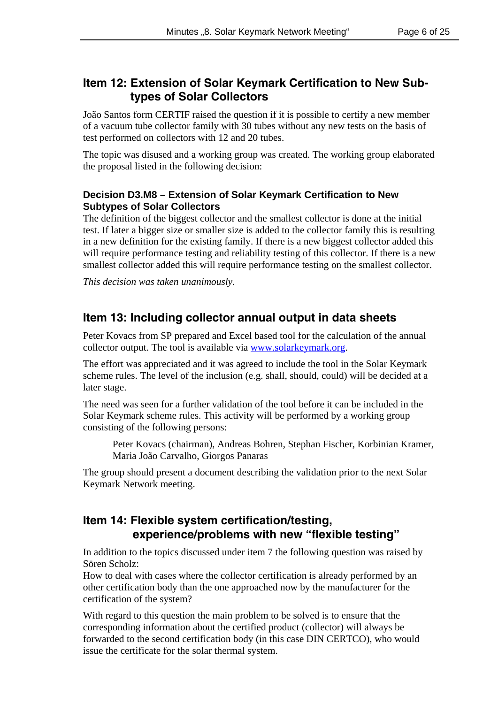## **Item 12: Extension of Solar Keymark Certification to New Subtypes of Solar Collectors**

João Santos form CERTIF raised the question if it is possible to certify a new member of a vacuum tube collector family with 30 tubes without any new tests on the basis of test performed on collectors with 12 and 20 tubes.

The topic was disused and a working group was created. The working group elaborated the proposal listed in the following decision:

#### **Decision D3.M8 – Extension of Solar Keymark Certification to New Subtypes of Solar Collectors**

The definition of the biggest collector and the smallest collector is done at the initial test. If later a bigger size or smaller size is added to the collector family this is resulting in a new definition for the existing family. If there is a new biggest collector added this will require performance testing and reliability testing of this collector. If there is a new smallest collector added this will require performance testing on the smallest collector.

*This decision was taken unanimously.*

### **Item 13: Including collector annual output in data sheets**

Peter Kovacs from SP prepared and Excel based tool for the calculation of the annual collector output. The tool is available via www.solarkeymark.org.

The effort was appreciated and it was agreed to include the tool in the Solar Keymark scheme rules. The level of the inclusion (e.g. shall, should, could) will be decided at a later stage.

The need was seen for a further validation of the tool before it can be included in the Solar Keymark scheme rules. This activity will be performed by a working group consisting of the following persons:

Peter Kovacs (chairman), Andreas Bohren, Stephan Fischer, Korbinian Kramer, Maria João Carvalho, Giorgos Panaras

The group should present a document describing the validation prior to the next Solar Keymark Network meeting.

## **Item 14: Flexible system certification/testing, experience/problems with new "flexible testing"**

In addition to the topics discussed under item 7 the following question was raised by Sören Scholz:

How to deal with cases where the collector certification is already performed by an other certification body than the one approached now by the manufacturer for the certification of the system?

With regard to this question the main problem to be solved is to ensure that the corresponding information about the certified product (collector) will always be forwarded to the second certification body (in this case DIN CERTCO), who would issue the certificate for the solar thermal system.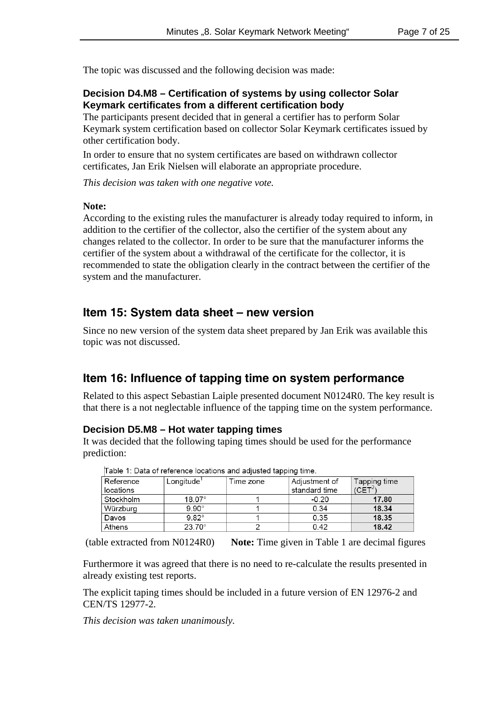The topic was discussed and the following decision was made:

#### **Decision D4.M8 – Certification of systems by using collector Solar Keymark certificates from a different certification body**

The participants present decided that in general a certifier has to perform Solar Keymark system certification based on collector Solar Keymark certificates issued by other certification body.

In order to ensure that no system certificates are based on withdrawn collector certificates, Jan Erik Nielsen will elaborate an appropriate procedure.

*This decision was taken with one negative vote.*

#### **Note:**

According to the existing rules the manufacturer is already today required to inform, in addition to the certifier of the collector, also the certifier of the system about any changes related to the collector. In order to be sure that the manufacturer informs the certifier of the system about a withdrawal of the certificate for the collector, it is recommended to state the obligation clearly in the contract between the certifier of the system and the manufacturer.

#### **Item 15: System data sheet – new version**

Since no new version of the system data sheet prepared by Jan Erik was available this topic was not discussed.

#### **Item 16: Influence of tapping time on system performance**

Related to this aspect Sebastian Laiple presented document N0124R0. The key result is that there is a not neglectable influence of the tapping time on the system performance.

#### **Decision D5.M8 – Hot water tapping times**

It was decided that the following taping times should be used for the performance prediction:

| Table 1. Data of following locations and adjusted tapping time. |                        |           |               |                     |  |  |  |  |
|-----------------------------------------------------------------|------------------------|-----------|---------------|---------------------|--|--|--|--|
| Reference                                                       | Longitude <sup>1</sup> | Time zone | Adjustment of | Tapping time        |  |  |  |  |
| locations                                                       |                        |           | standard time | (CET <sup>2</sup> ) |  |  |  |  |
| Stockholm                                                       | $18.07^\circ$          |           | $-0.20$       | 17.80               |  |  |  |  |
| Würzburg                                                        | $9.90^\circ$           |           | 0.34          | 18.34               |  |  |  |  |
| Davos                                                           | $9.82^\circ$           |           | 0.35          | 18.35               |  |  |  |  |
| Athens                                                          | $23.70^{\circ}$        |           | 0.42          | 18.42               |  |  |  |  |

Table 1: Data of reference locations and adjusted tapping time

(table extracted from N0124R0) **Note:** Time given in Table 1 are decimal figures

Furthermore it was agreed that there is no need to re-calculate the results presented in already existing test reports.

The explicit taping times should be included in a future version of EN 12976-2 and CEN/TS 12977-2.

*This decision was taken unanimously.*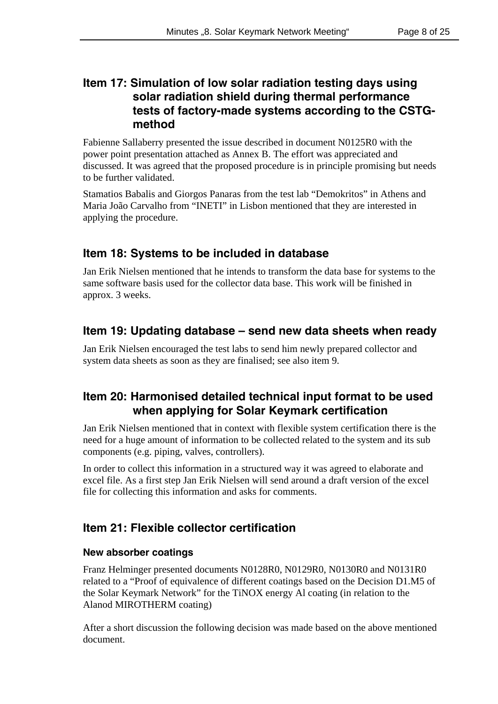## **Item 17: Simulation of low solar radiation testing days using solar radiation shield during thermal performance tests of factory-made systems according to the CSTGmethod**

Fabienne Sallaberry presented the issue described in document N0125R0 with the power point presentation attached as Annex B. The effort was appreciated and discussed. It was agreed that the proposed procedure is in principle promising but needs to be further validated.

Stamatios Babalis and Giorgos Panaras from the test lab "Demokritos" in Athens and Maria João Carvalho from "INETI" in Lisbon mentioned that they are interested in applying the procedure.

## **Item 18: Systems to be included in database**

Jan Erik Nielsen mentioned that he intends to transform the data base for systems to the same software basis used for the collector data base. This work will be finished in approx. 3 weeks.

## **Item 19: Updating database – send new data sheets when ready**

Jan Erik Nielsen encouraged the test labs to send him newly prepared collector and system data sheets as soon as they are finalised; see also item 9.

## **Item 20: Harmonised detailed technical input format to be used when applying for Solar Keymark certification**

Jan Erik Nielsen mentioned that in context with flexible system certification there is the need for a huge amount of information to be collected related to the system and its sub components (e.g. piping, valves, controllers).

In order to collect this information in a structured way it was agreed to elaborate and excel file. As a first step Jan Erik Nielsen will send around a draft version of the excel file for collecting this information and asks for comments.

## **Item 21: Flexible collector certification**

#### **New absorber coatings**

Franz Helminger presented documents N0128R0, N0129R0, N0130R0 and N0131R0 related to a "Proof of equivalence of different coatings based on the Decision D1.M5 of the Solar Keymark Network" for the TiNOX energy Al coating (in relation to the Alanod MIROTHERM coating)

After a short discussion the following decision was made based on the above mentioned document.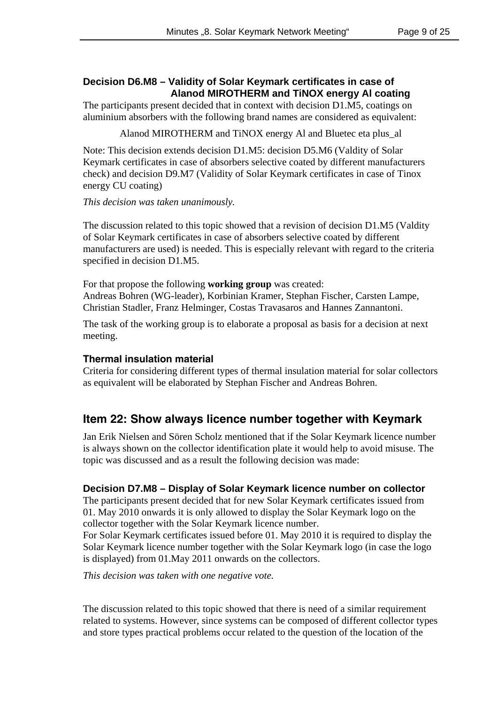#### **Decision D6.M8 – Validity of Solar Keymark certificates in case of Alanod MIROTHERM and TiNOX energy Al coating**

The participants present decided that in context with decision D1.M5, coatings on aluminium absorbers with the following brand names are considered as equivalent:

Alanod MIROTHERM and TiNOX energy Al and Bluetec eta plus\_al

Note: This decision extends decision D1.M5: decision D5.M6 (Valdity of Solar Keymark certificates in case of absorbers selective coated by different manufacturers check) and decision D9.M7 (Validity of Solar Keymark certificates in case of Tinox energy CU coating)

#### *This decision was taken unanimously.*

The discussion related to this topic showed that a revision of decision D1.M5 (Valdity of Solar Keymark certificates in case of absorbers selective coated by different manufacturers are used) is needed. This is especially relevant with regard to the criteria specified in decision D1.M5.

For that propose the following **working group** was created: Andreas Bohren (WG-leader), Korbinian Kramer, Stephan Fischer, Carsten Lampe, Christian Stadler, Franz Helminger, Costas Travasaros and Hannes Zannantoni.

The task of the working group is to elaborate a proposal as basis for a decision at next meeting.

#### **Thermal insulation material**

Criteria for considering different types of thermal insulation material for solar collectors as equivalent will be elaborated by Stephan Fischer and Andreas Bohren.

## **Item 22: Show always licence number together with Keymark**

Jan Erik Nielsen and Sören Scholz mentioned that if the Solar Keymark licence number is always shown on the collector identification plate it would help to avoid misuse. The topic was discussed and as a result the following decision was made:

#### **Decision D7.M8 – Display of Solar Keymark licence number on collector**

The participants present decided that for new Solar Keymark certificates issued from 01. May 2010 onwards it is only allowed to display the Solar Keymark logo on the collector together with the Solar Keymark licence number.

For Solar Keymark certificates issued before 01. May 2010 it is required to display the Solar Keymark licence number together with the Solar Keymark logo (in case the logo is displayed) from 01.May 2011 onwards on the collectors.

*This decision was taken with one negative vote.*

The discussion related to this topic showed that there is need of a similar requirement related to systems. However, since systems can be composed of different collector types and store types practical problems occur related to the question of the location of the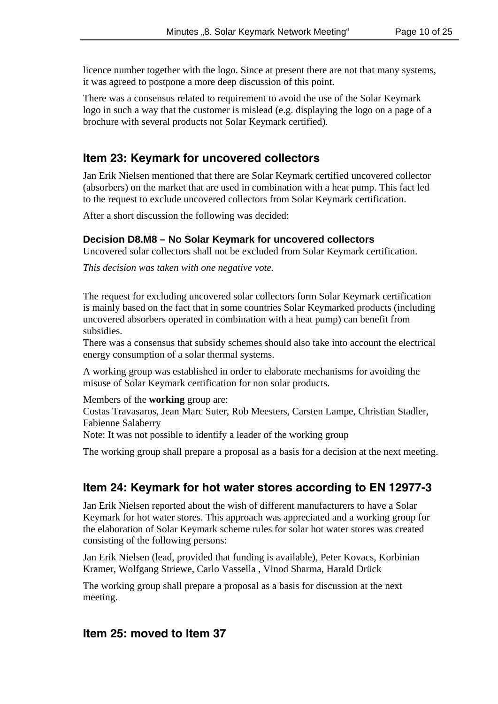licence number together with the logo. Since at present there are not that many systems, it was agreed to postpone a more deep discussion of this point.

There was a consensus related to requirement to avoid the use of the Solar Keymark logo in such a way that the customer is mislead (e.g. displaying the logo on a page of a brochure with several products not Solar Keymark certified).

## **Item 23: Keymark for uncovered collectors**

Jan Erik Nielsen mentioned that there are Solar Keymark certified uncovered collector (absorbers) on the market that are used in combination with a heat pump. This fact led to the request to exclude uncovered collectors from Solar Keymark certification.

After a short discussion the following was decided:

#### **Decision D8.M8 – No Solar Keymark for uncovered collectors**

Uncovered solar collectors shall not be excluded from Solar Keymark certification.

*This decision was taken with one negative vote.*

The request for excluding uncovered solar collectors form Solar Keymark certification is mainly based on the fact that in some countries Solar Keymarked products (including uncovered absorbers operated in combination with a heat pump) can benefit from subsidies.

There was a consensus that subsidy schemes should also take into account the electrical energy consumption of a solar thermal systems.

A working group was established in order to elaborate mechanisms for avoiding the misuse of Solar Keymark certification for non solar products.

Members of the **working** group are:

Costas Travasaros, Jean Marc Suter, Rob Meesters, Carsten Lampe, Christian Stadler, Fabienne Salaberry

Note: It was not possible to identify a leader of the working group

The working group shall prepare a proposal as a basis for a decision at the next meeting.

## **Item 24: Keymark for hot water stores according to EN 12977-3**

Jan Erik Nielsen reported about the wish of different manufacturers to have a Solar Keymark for hot water stores. This approach was appreciated and a working group for the elaboration of Solar Keymark scheme rules for solar hot water stores was created consisting of the following persons:

Jan Erik Nielsen (lead, provided that funding is available), Peter Kovacs, Korbinian Kramer, Wolfgang Striewe, Carlo Vassella , Vinod Sharma, Harald Drück

The working group shall prepare a proposal as a basis for discussion at the next meeting.

#### **Item 25: moved to Item 37**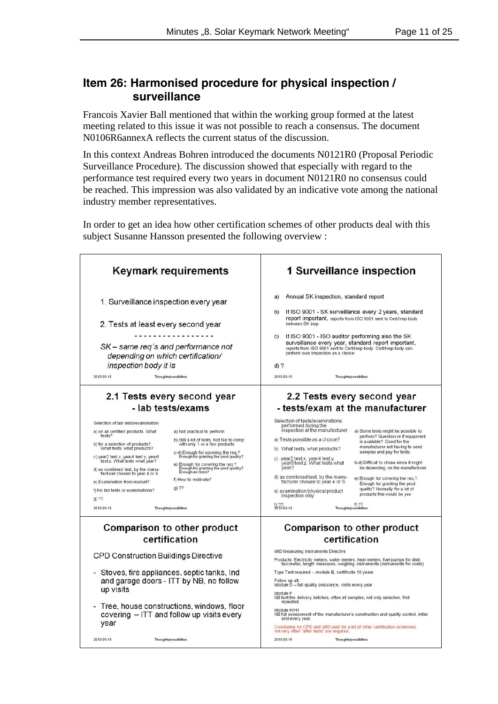## **Item 26: Harmonised procedure for physical inspection / surveillance**

Francois Xavier Ball mentioned that within the working group formed at the latest meeting related to this issue it was not possible to reach a consensus. The document N0106R6annexA reflects the current status of the discussion.

In this context Andreas Bohren introduced the documents N0121R0 (Proposal Periodic Surveillance Procedure). The discussion showed that especially with regard to the performance test required every two years in document N0121R0 no consensus could be reached. This impression was also validated by an indicative vote among the national industry member representatives.

In order to get an idea how other certification schemes of other products deal with this subject Susanne Hansson presented the following overview :

| <b>Keymark requirements</b>                                                                                                                                                                                                                                                                                                                                                                                                                                                                                                                                                                                                                                                                                                                                                                               | 1 Surveillance inspection<br>Annual SK inspection, standard report<br>a)<br>If ISO 9001 - SK surveillance every 2 years, standard<br>b)<br>report important, reports from ISO 9001 sent to Cert/Insp body<br>between SK insp<br>If ISO 9001 - ISO auditor performing also the SK<br>c)<br>surveillance every year, standard report important,<br>reports from ISO 9001 sent to Cert/Insp body. Cert/Insp body can<br>perform own inspection as a choice                                                                                                                                                                                                                                                                                                                                                                                                                                     |  |  |  |
|-----------------------------------------------------------------------------------------------------------------------------------------------------------------------------------------------------------------------------------------------------------------------------------------------------------------------------------------------------------------------------------------------------------------------------------------------------------------------------------------------------------------------------------------------------------------------------------------------------------------------------------------------------------------------------------------------------------------------------------------------------------------------------------------------------------|---------------------------------------------------------------------------------------------------------------------------------------------------------------------------------------------------------------------------------------------------------------------------------------------------------------------------------------------------------------------------------------------------------------------------------------------------------------------------------------------------------------------------------------------------------------------------------------------------------------------------------------------------------------------------------------------------------------------------------------------------------------------------------------------------------------------------------------------------------------------------------------------|--|--|--|
| 1. Surveillance inspection every year<br>2. Tests at least every second year<br>SK – same reg's and performance not<br>depending on which certification/<br>inspection body it is                                                                                                                                                                                                                                                                                                                                                                                                                                                                                                                                                                                                                         |                                                                                                                                                                                                                                                                                                                                                                                                                                                                                                                                                                                                                                                                                                                                                                                                                                                                                             |  |  |  |
| 2010-03-15<br>Thoughts/possibilites                                                                                                                                                                                                                                                                                                                                                                                                                                                                                                                                                                                                                                                                                                                                                                       | $d)$ ?<br>2010-03-15<br>Thoughts/possibilites                                                                                                                                                                                                                                                                                                                                                                                                                                                                                                                                                                                                                                                                                                                                                                                                                                               |  |  |  |
| 2.1 Tests every second year<br>- lab tests/exams<br>Selection of lab tests/examination<br>a) on all certified products. What<br>a) Not practical to perform<br>tests?<br>b) Still a lot of tests. Not fair to comp<br>b) for a selection of products?<br>What tests, what products?<br>with only 1 or a few products<br>c-d) Enough for covering the req.?<br>c) year2 test x, year4 test y, year6<br>Enough for granting the prod quality?<br>test z. What tests what year?<br>e) Enough for covering the req.?<br>Enough for granting the prod quality?<br>Enough as tests?<br>d) as combined test, by the manu-<br>facturer chosen to year 4 or 6<br>f) How to motivate?<br>e) Examination from market?<br>g) ??<br>f) No lab tests or examinations?<br>$g)$ ??<br>2010-03-15<br>Thoughts/possibilites | 2.2 Tests every second year<br>- tests/exam at the manufacturer<br>Selection of tests/examinations<br>performed during the<br>inspection at the manufacturer<br>a) Some tests might be possible to<br>perform? Question re if equipment<br>a) Tests possible as a choice?<br>is available? Good for the<br>manufacturer not having to send<br>b) What tests, what products?<br>samples and pay for tests.<br>c) year2 test x, year4 test y,<br>year6 test z. What tests what<br>b-d) Difficult to chose since it might<br>vear?<br>be depending on the manufacturer<br>d) as combined test, by the manu-<br>e) Enough for covering the req.?.<br>facturer chosen to year 4 or 6<br>Enough for granting the prod<br>quality? Normally for a lot of<br>e) examination/physical product<br>products this would be yes<br>inspection only<br>f) ??<br>Thoughts/possibilites<br>$2010 - 03 - 15$ |  |  |  |
| <b>Comparison to other product</b><br>certification                                                                                                                                                                                                                                                                                                                                                                                                                                                                                                                                                                                                                                                                                                                                                       | <b>Comparison to other product</b><br>certification                                                                                                                                                                                                                                                                                                                                                                                                                                                                                                                                                                                                                                                                                                                                                                                                                                         |  |  |  |
| <b>CPD Construction Buildings Directive</b><br>Stoves, fire appliances, septic tanks, Ind<br>and garage doors - ITT by NB, no follow<br>up visits<br>Tree, house constructions, windows, floor<br>covering - ITT and follow up visits every<br>year                                                                                                                                                                                                                                                                                                                                                                                                                                                                                                                                                       | <b>MID Measuring Instruments Directive</b><br>Products: Electricity meters, water meters, heat meters, fuel pumps for distr,<br>taxi meter, length measures, weighing instruments (instruments for costs)<br>Type Test required - module B, certificate 10 years<br>Follow up alt:<br>Module D - full quality assurance, visits every year<br>Module F<br>NB test the delivery batches, often all samples, not only selection. Not<br>repeated.<br>Module H/H1<br>NB full assessment of the manufacturer's construction and quality control, initial<br>and every year.<br>Conclusion for CPD and MID (and for a lot of other certification schemes):<br>not very often "after tests" are required.                                                                                                                                                                                         |  |  |  |
| 2010-03-15<br>Thoughts/possibilites                                                                                                                                                                                                                                                                                                                                                                                                                                                                                                                                                                                                                                                                                                                                                                       | 2010-03-15<br>Thoughts/possibilites                                                                                                                                                                                                                                                                                                                                                                                                                                                                                                                                                                                                                                                                                                                                                                                                                                                         |  |  |  |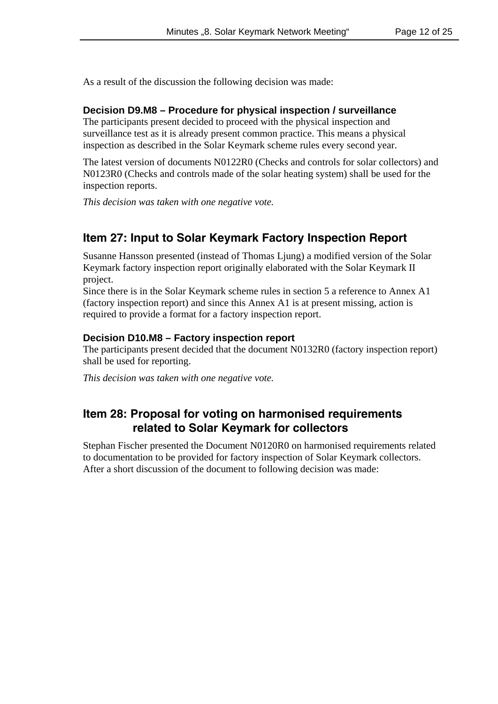As a result of the discussion the following decision was made:

#### **Decision D9.M8 – Procedure for physical inspection / surveillance**

The participants present decided to proceed with the physical inspection and surveillance test as it is already present common practice. This means a physical inspection as described in the Solar Keymark scheme rules every second year.

The latest version of documents N0122R0 (Checks and controls for solar collectors) and N0123R0 (Checks and controls made of the solar heating system) shall be used for the inspection reports.

*This decision was taken with one negative vote.*

## **Item 27: Input to Solar Keymark Factory Inspection Report**

Susanne Hansson presented (instead of Thomas Ljung) a modified version of the Solar Keymark factory inspection report originally elaborated with the Solar Keymark II project.

Since there is in the Solar Keymark scheme rules in section 5 a reference to Annex A1 (factory inspection report) and since this Annex A1 is at present missing, action is required to provide a format for a factory inspection report.

#### **Decision D10.M8 – Factory inspection report**

The participants present decided that the document N0132R0 (factory inspection report) shall be used for reporting.

*This decision was taken with one negative vote.*

## **Item 28: Proposal for voting on harmonised requirements related to Solar Keymark for collectors**

Stephan Fischer presented the Document N0120R0 on harmonised requirements related to documentation to be provided for factory inspection of Solar Keymark collectors. After a short discussion of the document to following decision was made: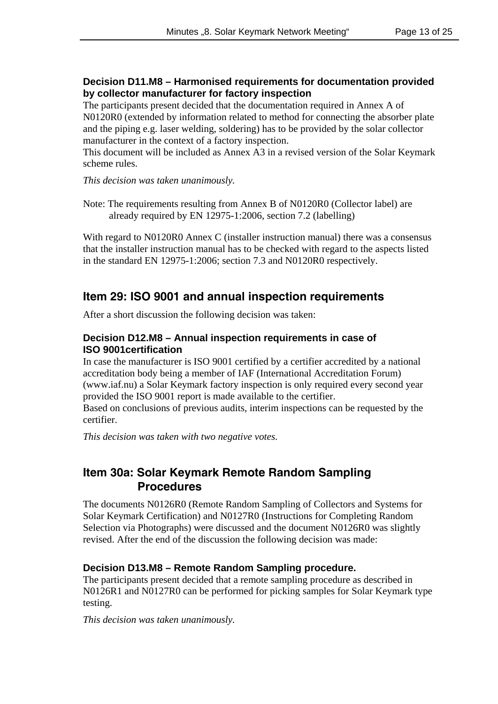#### **Decision D11.M8 – Harmonised requirements for documentation provided by collector manufacturer for factory inspection**

The participants present decided that the documentation required in Annex A of N0120R0 (extended by information related to method for connecting the absorber plate and the piping e.g. laser welding, soldering) has to be provided by the solar collector manufacturer in the context of a factory inspection.

This document will be included as Annex A3 in a revised version of the Solar Keymark scheme rules.

*This decision was taken unanimously.*

Note: The requirements resulting from Annex B of N0120R0 (Collector label) are already required by EN 12975-1:2006, section 7.2 (labelling)

With regard to N0120R0 Annex C (installer instruction manual) there was a consensus that the installer instruction manual has to be checked with regard to the aspects listed in the standard EN 12975-1:2006; section 7.3 and N0120R0 respectively.

## **Item 29: ISO 9001 and annual inspection requirements**

After a short discussion the following decision was taken:

#### **Decision D12.M8 – Annual inspection requirements in case of ISO 9001certification**

In case the manufacturer is ISO 9001 certified by a certifier accredited by a national accreditation body being a member of IAF (International Accreditation Forum) (www.iaf.nu) a Solar Keymark factory inspection is only required every second year provided the ISO 9001 report is made available to the certifier.

Based on conclusions of previous audits, interim inspections can be requested by the certifier.

*This decision was taken with two negative votes.*

## **Item 30a: Solar Keymark Remote Random Sampling Procedures**

The documents N0126R0 (Remote Random Sampling of Collectors and Systems for Solar Keymark Certification) and N0127R0 (Instructions for Completing Random Selection via Photographs) were discussed and the document N0126R0 was slightly revised. After the end of the discussion the following decision was made:

#### **Decision D13.M8 – Remote Random Sampling procedure.**

The participants present decided that a remote sampling procedure as described in N0126R1 and N0127R0 can be performed for picking samples for Solar Keymark type testing.

*This decision was taken unanimously.*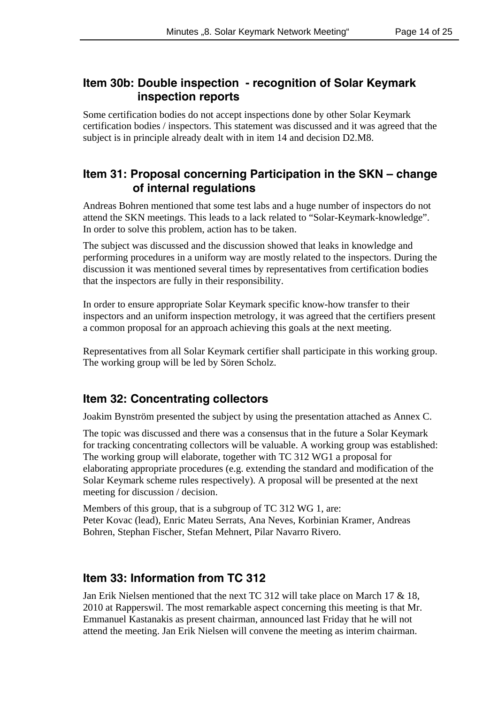## **Item 30b: Double inspection - recognition of Solar Keymark inspection reports**

Some certification bodies do not accept inspections done by other Solar Keymark certification bodies / inspectors. This statement was discussed and it was agreed that the subject is in principle already dealt with in item 14 and decision D2.M8.

## **Item 31: Proposal concerning Participation in the SKN – change of internal regulations**

Andreas Bohren mentioned that some test labs and a huge number of inspectors do not attend the SKN meetings. This leads to a lack related to "Solar-Keymark-knowledge". In order to solve this problem, action has to be taken.

The subject was discussed and the discussion showed that leaks in knowledge and performing procedures in a uniform way are mostly related to the inspectors. During the discussion it was mentioned several times by representatives from certification bodies that the inspectors are fully in their responsibility.

In order to ensure appropriate Solar Keymark specific know-how transfer to their inspectors and an uniform inspection metrology, it was agreed that the certifiers present a common proposal for an approach achieving this goals at the next meeting.

Representatives from all Solar Keymark certifier shall participate in this working group. The working group will be led by Sören Scholz.

## **Item 32: Concentrating collectors**

Joakim Bynström presented the subject by using the presentation attached as Annex C.

The topic was discussed and there was a consensus that in the future a Solar Keymark for tracking concentrating collectors will be valuable. A working group was established: The working group will elaborate, together with TC 312 WG1 a proposal for elaborating appropriate procedures (e.g. extending the standard and modification of the Solar Keymark scheme rules respectively). A proposal will be presented at the next meeting for discussion / decision.

Members of this group, that is a subgroup of TC 312 WG 1, are: Peter Kovac (lead), Enric Mateu Serrats, Ana Neves, Korbinian Kramer, Andreas Bohren, Stephan Fischer, Stefan Mehnert, Pilar Navarro Rivero.

## **Item 33: Information from TC 312**

Jan Erik Nielsen mentioned that the next TC 312 will take place on March 17 & 18, 2010 at Rapperswil. The most remarkable aspect concerning this meeting is that Mr. Emmanuel Kastanakis as present chairman, announced last Friday that he will not attend the meeting. Jan Erik Nielsen will convene the meeting as interim chairman.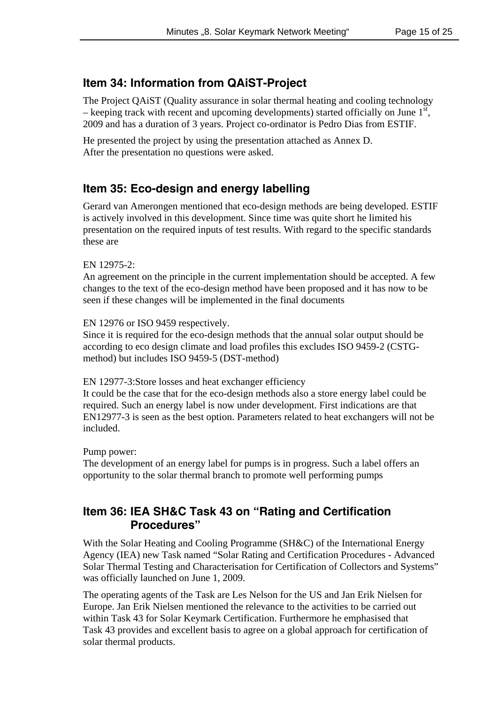## **Item 34: Information from QAiST-Project**

The Project QAiST (Quality assurance in solar thermal heating and cooling technology – keeping track with recent and upcoming developments) started officially on June  $1^{st}$ , 2009 and has a duration of 3 years. Project co-ordinator is Pedro Dias from ESTIF.

He presented the project by using the presentation attached as Annex D. After the presentation no questions were asked.

## **Item 35: Eco-design and energy labelling**

Gerard van Amerongen mentioned that eco-design methods are being developed. ESTIF is actively involved in this development. Since time was quite short he limited his presentation on the required inputs of test results. With regard to the specific standards these are

#### EN 12975-2:

An agreement on the principle in the current implementation should be accepted. A few changes to the text of the eco-design method have been proposed and it has now to be seen if these changes will be implemented in the final documents

#### EN 12976 or ISO 9459 respectively.

Since it is required for the eco-design methods that the annual solar output should be according to eco design climate and load profiles this excludes ISO 9459-2 (CSTGmethod) but includes ISO 9459-5 (DST-method)

#### EN 12977-3:Store losses and heat exchanger efficiency

It could be the case that for the eco-design methods also a store energy label could be required. Such an energy label is now under development. First indications are that EN12977-3 is seen as the best option. Parameters related to heat exchangers will not be included.

#### Pump power:

The development of an energy label for pumps is in progress. Such a label offers an opportunity to the solar thermal branch to promote well performing pumps

## **Item 36: IEA SH&C Task 43 on "Rating and Certification Procedures"**

With the Solar Heating and Cooling Programme (SH&C) of the International Energy Agency (IEA) new Task named "Solar Rating and Certification Procedures - Advanced Solar Thermal Testing and Characterisation for Certification of Collectors and Systems" was officially launched on June 1, 2009.

The operating agents of the Task are Les Nelson for the US and Jan Erik Nielsen for Europe. Jan Erik Nielsen mentioned the relevance to the activities to be carried out within Task 43 for Solar Keymark Certification. Furthermore he emphasised that Task 43 provides and excellent basis to agree on a global approach for certification of solar thermal products.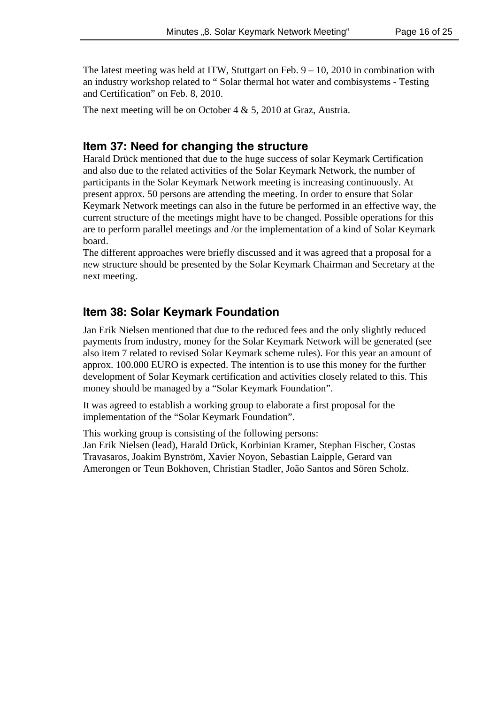The latest meeting was held at ITW, Stuttgart on Feb.  $9 - 10$ , 2010 in combination with an industry workshop related to " Solar thermal hot water and combisystems - Testing and Certification" on Feb. 8, 2010.

The next meeting will be on October 4 & 5, 2010 at Graz, Austria.

#### **Item 37: Need for changing the structure**

Harald Drück mentioned that due to the huge success of solar Keymark Certification and also due to the related activities of the Solar Keymark Network, the number of participants in the Solar Keymark Network meeting is increasing continuously. At present approx. 50 persons are attending the meeting. In order to ensure that Solar Keymark Network meetings can also in the future be performed in an effective way, the current structure of the meetings might have to be changed. Possible operations for this are to perform parallel meetings and /or the implementation of a kind of Solar Keymark board.

The different approaches were briefly discussed and it was agreed that a proposal for a new structure should be presented by the Solar Keymark Chairman and Secretary at the next meeting.

### **Item 38: Solar Keymark Foundation**

Jan Erik Nielsen mentioned that due to the reduced fees and the only slightly reduced payments from industry, money for the Solar Keymark Network will be generated (see also item 7 related to revised Solar Keymark scheme rules). For this year an amount of approx. 100.000 EURO is expected. The intention is to use this money for the further development of Solar Keymark certification and activities closely related to this. This money should be managed by a "Solar Keymark Foundation".

It was agreed to establish a working group to elaborate a first proposal for the implementation of the "Solar Keymark Foundation".

This working group is consisting of the following persons: Jan Erik Nielsen (lead), Harald Drück, Korbinian Kramer, Stephan Fischer, Costas Travasaros, Joakim Bynström, Xavier Noyon, Sebastian Laipple, Gerard van Amerongen or Teun Bokhoven, Christian Stadler, João Santos and Sören Scholz.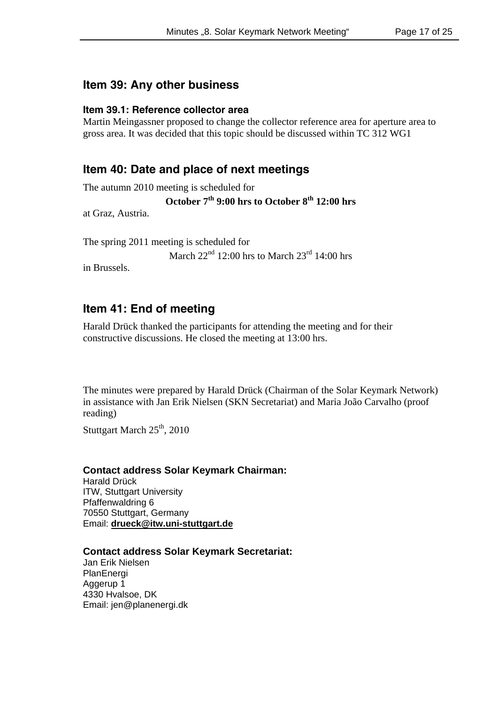## **Item 39: Any other business**

#### **Item 39.1: Reference collector area**

Martin Meingassner proposed to change the collector reference area for aperture area to gross area. It was decided that this topic should be discussed within TC 312 WG1

## **Item 40: Date and place of next meetings**

The autumn 2010 meeting is scheduled for

## October 7<sup>th</sup> 9:00 hrs to October 8<sup>th</sup> 12:00 hrs

at Graz, Austria.

The spring 2011 meeting is scheduled for

March  $22<sup>nd</sup> 12:00$  hrs to March  $23<sup>rd</sup> 14:00$  hrs

in Brussels.

## **Item 41: End of meeting**

Harald Drück thanked the participants for attending the meeting and for their constructive discussions. He closed the meeting at 13:00 hrs.

The minutes were prepared by Harald Drück (Chairman of the Solar Keymark Network) in assistance with Jan Erik Nielsen (SKN Secretariat) and Maria João Carvalho (proof reading)

Stuttgart March  $25<sup>th</sup>$ , 2010

#### **Contact address Solar Keymark Chairman:**

Harald Drück ITW, Stuttgart University Pfaffenwaldring 6 70550 Stuttgart, Germany Email: **drueck@itw.uni-stuttgart.de**

#### **Contact address Solar Keymark Secretariat:**

Jan Erik Nielsen **PlanEnergi** Aggerup 1 4330 Hvalsoe, DK Email: jen@planenergi.dk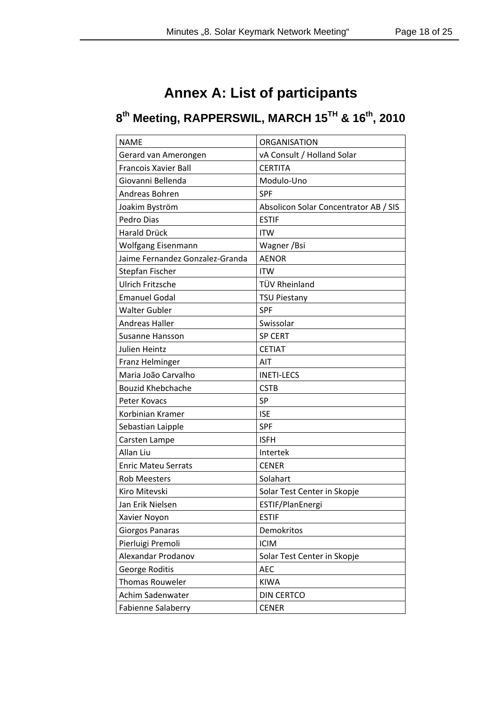# **Annex A: List of participants**

# **8th Meeting, RAPPERSWIL, MARCH 15TH & 16th, 2010**

| <b>NAME</b>                     | <b>ORGANISATION</b>                   |
|---------------------------------|---------------------------------------|
| Gerard van Amerongen            | vA Consult / Holland Solar            |
| <b>Francois Xavier Ball</b>     | <b>CERTITA</b>                        |
| Giovanni Bellenda               | Modulo-Uno                            |
| Andreas Bohren                  | <b>SPF</b>                            |
| Joakim Byström                  | Absolicon Solar Concentrator AB / SIS |
| Pedro Dias                      | <b>ESTIF</b>                          |
| <b>Harald Drück</b>             | <b>ITW</b>                            |
| Wolfgang Eisenmann              | Wagner / Bsi                          |
| Jaime Fernandez Gonzalez-Granda | <b>AENOR</b>                          |
| Stepfan Fischer                 | <b>ITW</b>                            |
| <b>Ulrich Fritzsche</b>         | TÜV Rheinland                         |
| <b>Emanuel Godal</b>            | <b>TSU Piestany</b>                   |
| <b>Walter Gubler</b>            | <b>SPF</b>                            |
| <b>Andreas Haller</b>           | Swissolar                             |
| Susanne Hansson                 | <b>SP CERT</b>                        |
| Julien Heintz                   | <b>CETIAT</b>                         |
| Franz Helminger                 | AIT                                   |
| Maria João Carvalho             | <b>INETI-LECS</b>                     |
| <b>Bouzid Khebchache</b>        | <b>CSTB</b>                           |
| Peter Kovacs                    | SP                                    |
| Korbinian Kramer                | <b>ISE</b>                            |
| Sebastian Laipple               | <b>SPF</b>                            |
| Carsten Lampe                   | <b>ISFH</b>                           |
| Allan Liu                       | Intertek                              |
| <b>Enric Mateu Serrats</b>      | <b>CENER</b>                          |
| <b>Rob Meesters</b>             | Solahart                              |
| Kiro Mitevski                   | Solar Test Center in Skopje           |
| Jan Erik Nielsen                | ESTIF/PlanEnergi                      |
| Xavier Noyon                    | <b>ESTIF</b>                          |
| Giorgos Panaras                 | Demokritos                            |
| Pierluigi Premoli               | <b>ICIM</b>                           |
| Alexandar Prodanov              | Solar Test Center in Skopje           |
| George Roditis                  | <b>AEC</b>                            |
| Thomas Rouweler                 | <b>KIWA</b>                           |
| Achim Sadenwater                | DIN CERTCO                            |
| Fabienne Salaberry              | <b>CENER</b>                          |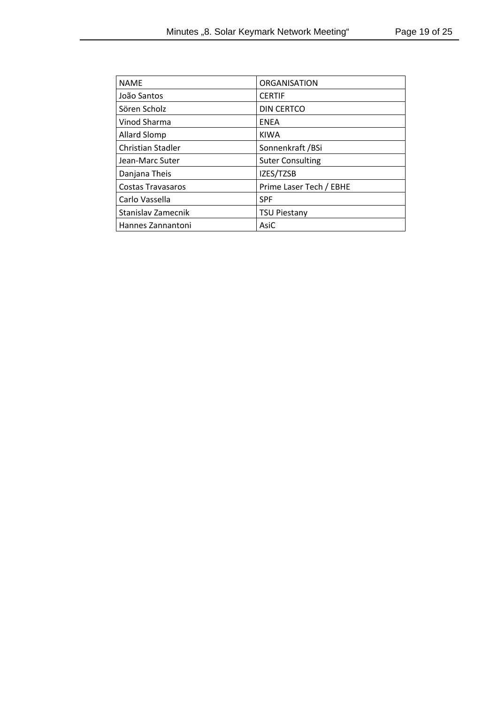| <b>NAME</b>              | <b>ORGANISATION</b>     |
|--------------------------|-------------------------|
| João Santos              | <b>CERTIF</b>           |
| Sören Scholz             | DIN CERTCO              |
| Vinod Sharma             | <b>ENEA</b>             |
| <b>Allard Slomp</b>      | <b>KIWA</b>             |
| <b>Christian Stadler</b> | Sonnenkraft /BSi        |
| Jean-Marc Suter          | <b>Suter Consulting</b> |
| Danjana Theis            | IZES/TZSB               |
| <b>Costas Travasaros</b> | Prime Laser Tech / EBHE |
| Carlo Vassella           | <b>SPF</b>              |
| Stanislav Zamecnik       | <b>TSU Piestany</b>     |
| Hannes Zannantoni        | AsiC                    |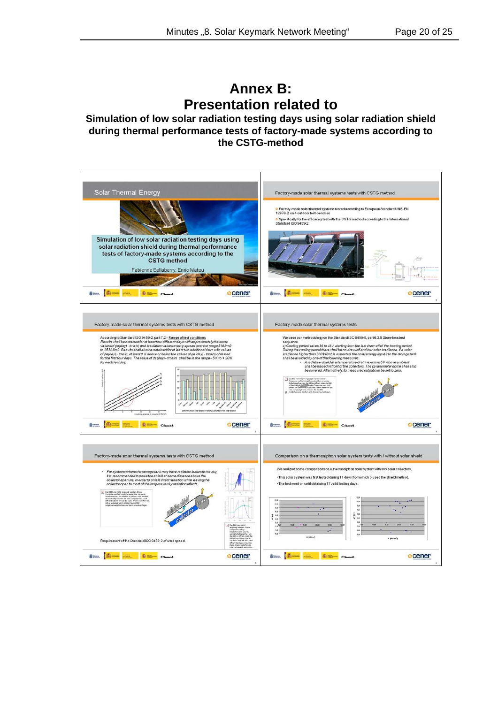## **Annex B: Presentation related to**

**Simulation of low solar radiation testing days using solar radiation shield during thermal performance tests of factory-made systems according to the CSTG-method**

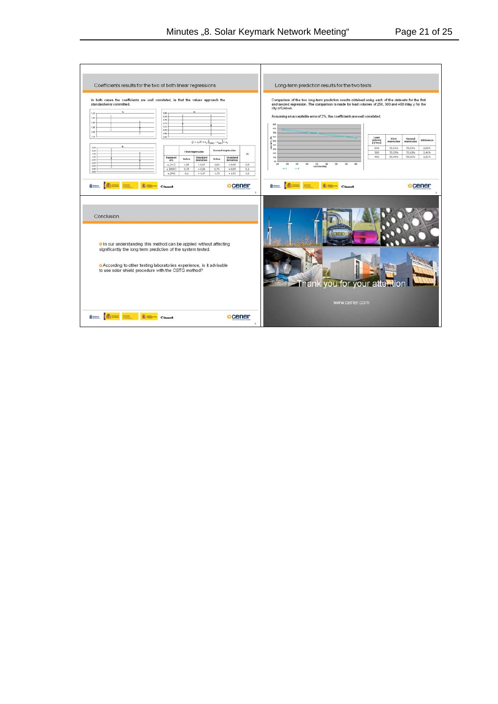| Coefficients results for the two of both linear regressions<br>In both cases the coefficients are well correlated, ie that the values approach the<br>standarderror committed.<br>$^{18}$<br>i an<br>t as                                                                                                       | 0.00<br>678<br>im<br>634<br>0.72 |                  |                                                             |               |                          |     |
|-----------------------------------------------------------------------------------------------------------------------------------------------------------------------------------------------------------------------------------------------------------------------------------------------------------------|----------------------------------|------------------|-------------------------------------------------------------|---------------|--------------------------|-----|
| 1,36<br>i.sa                                                                                                                                                                                                                                                                                                    | 4.70<br>aiss                     |                  |                                                             |               |                          |     |
| ú.                                                                                                                                                                                                                                                                                                              | 1.96                             |                  | $Q = a_1 H + a_2 (t_{\text{other}} - t_{\text{min}}) + a_3$ |               |                          |     |
| 0.50<br>oks-                                                                                                                                                                                                                                                                                                    |                                  |                  |                                                             |               | <b>Second regression</b> |     |
| $-t$ bb<br>-kilds                                                                                                                                                                                                                                                                                               | Paramet                          | First regression | Standard                                                    |               | Standard                 | tc  |
| $200 -$<br>2.86                                                                                                                                                                                                                                                                                                 | ers<br>a, (m/)                   | Value<br>1.55    | deviation<br>$+0.07$                                        | Value<br>1.60 | deviation<br>$+0.00$     | 0.5 |
| 3.50<br>$100 -$<br>410                                                                                                                                                                                                                                                                                          | a. (HUN)                         | 0.73             | $*0.06$                                                     | 0,74          | $= 0.05$                 | 0.1 |
|                                                                                                                                                                                                                                                                                                                 | a, (H)]                          | $-2.1$           | $+1.37$                                                     | $-1.70$       | $*1.53$                  | 0.2 |
|                                                                                                                                                                                                                                                                                                                 |                                  |                  |                                                             |               | <b>Scener</b>            |     |
| <b>dress Allense Allense</b><br>Conclusion<br>o In our understanding this method can be applied without affecting<br>significantly the long term prediction of the system tested.<br>According to other testing laboratories experience, is it advisable<br>to use solar shield procedure with the CSTG method? |                                  |                  |                                                             |               |                          |     |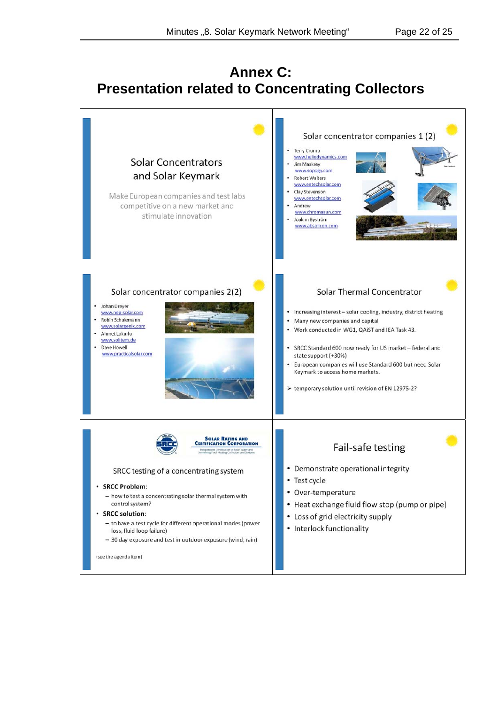# **Annex C: Presentation related to Concentrating Collectors**

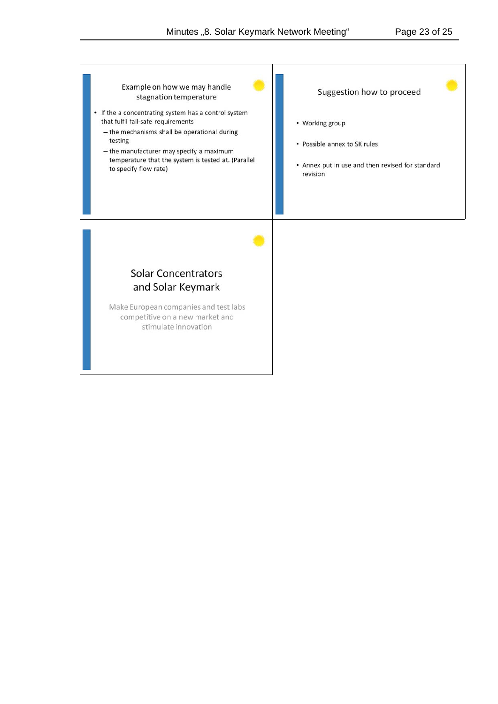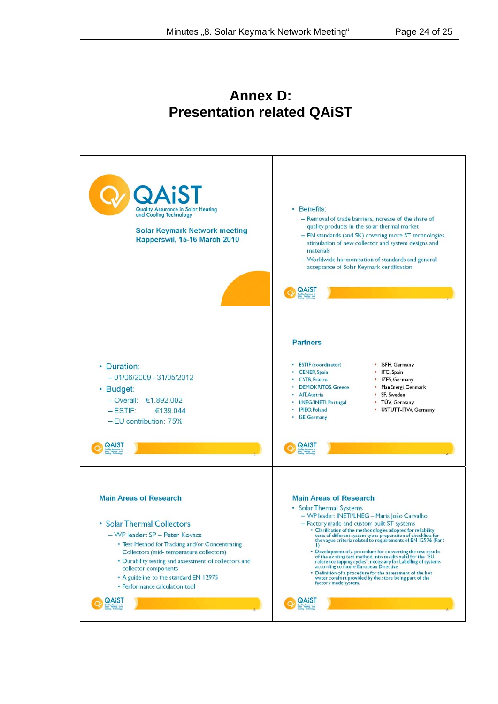